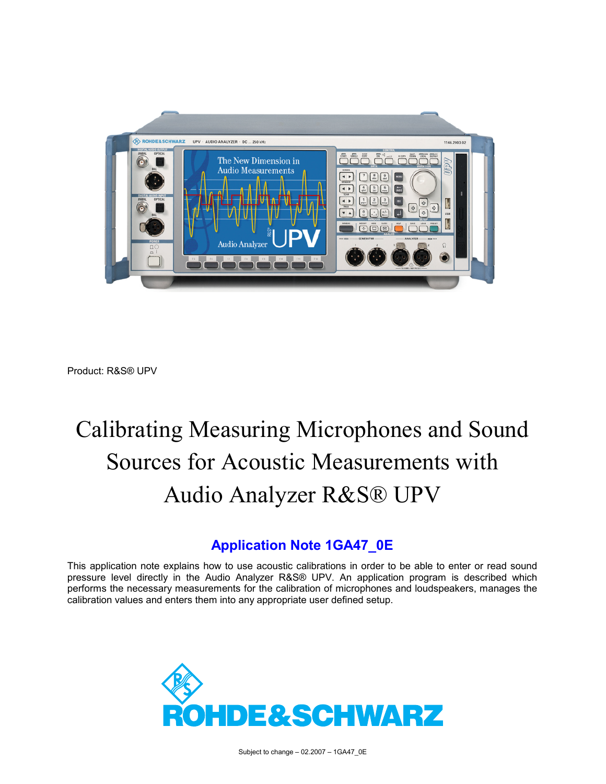

Product: R&S® UPV

# Calibrating Measuring Microphones and Sound Sources for Acoustic Measurements with Audio Analyzer R&S® UPV

## **Application Note 1GA47\_0E**

This application note explains how to use acoustic calibrations in order to be able to enter or read sound pressure level directly in the Audio Analyzer R&S® UPV. An application program is described which performs the necessary measurements for the calibration of microphones and loudspeakers, manages the calibration values and enters them into any appropriate user defined setup.

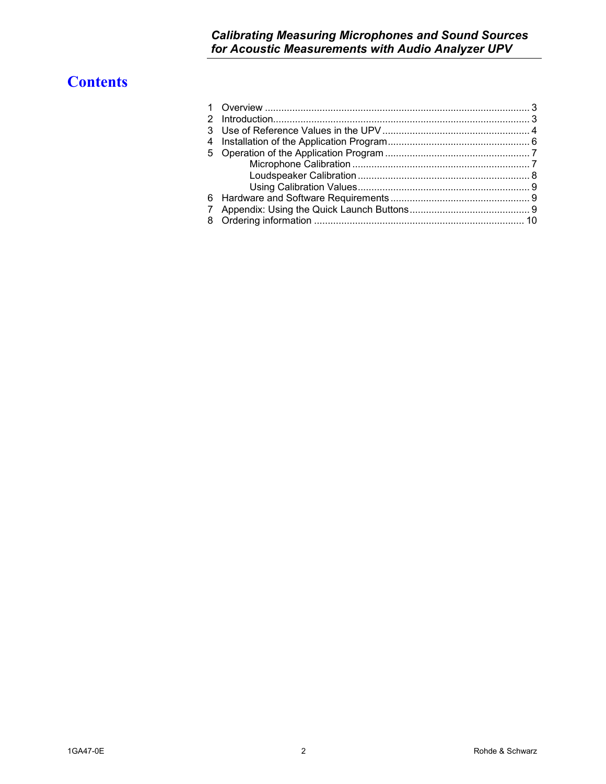# **Contents**

| 3 |  |
|---|--|
| 4 |  |
| 5 |  |
|   |  |
|   |  |
|   |  |
|   |  |
| 7 |  |
| 8 |  |
|   |  |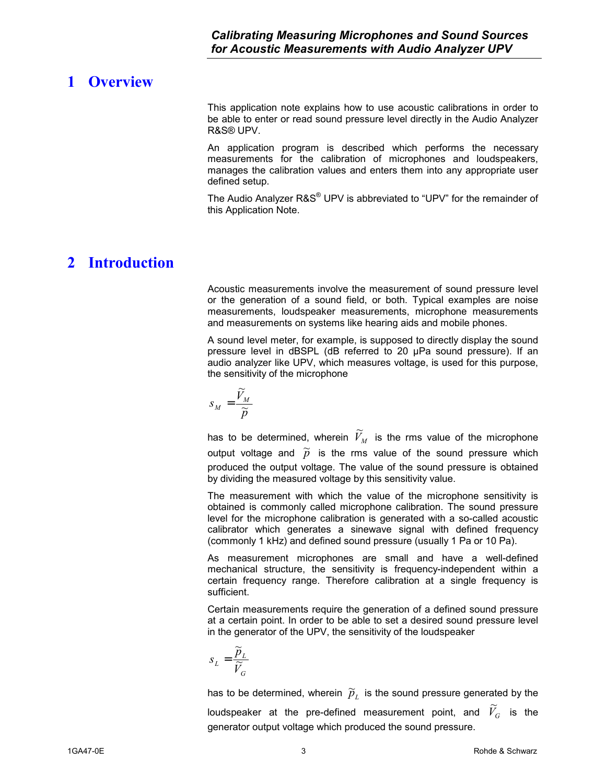## <span id="page-2-0"></span>**1 Overview**

This application note explains how to use acoustic calibrations in order to be able to enter or read sound pressure level directly in the Audio Analyzer R&S® UPV.

An application program is described which performs the necessary measurements for the calibration of microphones and loudspeakers, manages the calibration values and enters them into any appropriate user defined setup.

The Audio Analyzer R&S<sup>®</sup> UPV is abbreviated to "UPV" for the remainder of this Application Note.

## **2 Introduction**

Acoustic measurements involve the measurement of sound pressure level or the generation of a sound field, or both. Typical examples are noise measurements, loudspeaker measurements, microphone measurements and measurements on systems like hearing aids and mobile phones.

A sound level meter, for example, is supposed to directly display the sound pressure level in dBSPL (dB referred to 20 µPa sound pressure). If an audio analyzer like UPV, which measures voltage, is used for this purpose, the sensitivity of the microphone

$$
S_M = \frac{\widetilde{V}_M}{\widetilde{p}}
$$

has to be determined, wherein  $\widetilde{V}_M$  is the rms value of the microphone output voltage and  $\widetilde{p}$  is the rms value of the sound pressure which produced the output voltage. The value of the sound pressure is obtained by dividing the measured voltage by this sensitivity value.

The measurement with which the value of the microphone sensitivity is obtained is commonly called microphone calibration. The sound pressure level for the microphone calibration is generated with a so-called acoustic calibrator which generates a sinewave signal with defined frequency (commonly 1 kHz) and defined sound pressure (usually 1 Pa or 10 Pa).

As measurement microphones are small and have a well-defined mechanical structure, the sensitivity is frequency-independent within a certain frequency range. Therefore calibration at a single frequency is sufficient.

Certain measurements require the generation of a defined sound pressure at a certain point. In order to be able to set a desired sound pressure level in the generator of the UPV, the sensitivity of the loudspeaker

$$
s_{L} = \frac{\widetilde{p}_{L}}{\widetilde{V}_{G}}
$$

has to be determined, wherein  $\,\widetilde{p}_{L}\,$  is the sound pressure generated by the loudspeaker at the pre-defined measurement point, and  $\widetilde{V}_G$  is the generator output voltage which produced the sound pressure.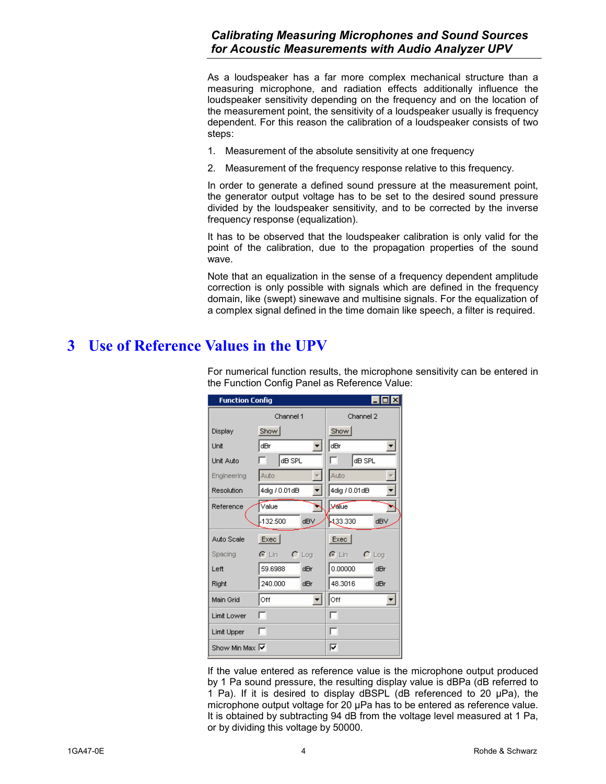<span id="page-3-0"></span>As a loudspeaker has a far more complex mechanical structure than a measuring microphone, and radiation effects additionally influence the loudspeaker sensitivity depending on the frequency and on the location of the measurement point, the sensitivity of a loudspeaker usually is frequency dependent. For this reason the calibration of a loudspeaker consists of two steps:

- 1. Measurement of the absolute sensitivity at one frequency
- 2. Measurement of the frequency response relative to this frequency.

In order to generate a defined sound pressure at the measurement point, the generator output voltage has to be set to the desired sound pressure divided by the loudspeaker sensitivity, and to be corrected by the inverse frequency response (equalization).

It has to be observed that the loudspeaker calibration is only valid for the point of the calibration, due to the propagation properties of the sound wave.

Note that an equalization in the sense of a frequency dependent amplitude correction is only possible with signals which are defined in the frequency domain, like (swept) sinewave and multisine signals. For the equalization of a complex signal defined in the time domain like speech, a filter is required.

## **3 Use of Reference Values in the UPV**

For numerical function results, the microphone sensitivity can be entered in the Function Config Panel as Reference Value:

| $\Box$ o $\times$<br><b>Function Config</b> |               |            |               |            |  |  |  |
|---------------------------------------------|---------------|------------|---------------|------------|--|--|--|
|                                             | Channel 1     | Channel 2  |               |            |  |  |  |
| Display                                     | Show          |            | Show          |            |  |  |  |
| Unit                                        | dBr           |            | dBr           |            |  |  |  |
| Unit Auto                                   | dB SPL        |            | dB SPL        |            |  |  |  |
| Engineering                                 | Auto          |            | Auto          |            |  |  |  |
| Resolution                                  | 4dig / 0.01dB |            | 4dig / 0.01dB |            |  |  |  |
| Reference                                   | Value         |            | <b>Lyalue</b> |            |  |  |  |
|                                             | 132.500       | dBV        | 433.330       | dBV        |  |  |  |
| Auto Scale                                  | Exec          |            | Exec          |            |  |  |  |
| Spacing                                     | ়ে Lin        | $\cap$ Log | ে Lini        | $\cap$ Log |  |  |  |
| Left                                        | 59.6988       | dBr        | 0.00000       | dBr        |  |  |  |
| Right                                       | 240.000       | dBr        | 48.3016       | dBr        |  |  |  |
| Main Grid                                   | Off           |            | Off           |            |  |  |  |
| Limit Lower                                 | п             |            | ⊓             |            |  |  |  |
| Limit Upper                                 | п             |            | ⊓             |            |  |  |  |
| Show Min Max I                              |               |            | ⊽             |            |  |  |  |

If the value entered as reference value is the microphone output produced by 1 Pa sound pressure, the resulting display value is dBPa (dB referred to 1 Pa). If it is desired to display dBSPL (dB referenced to 20  $\mu$ Pa), the microphone output voltage for 20 µPa has to be entered as reference value. It is obtained by subtracting 94 dB from the voltage level measured at 1 Pa, or by dividing this voltage by 50000.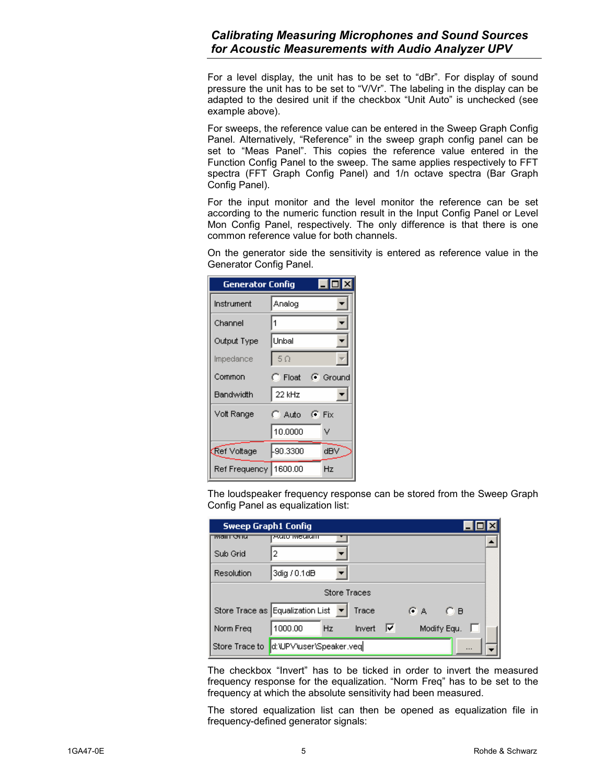For a level display, the unit has to be set to "dBr". For display of sound pressure the unit has to be set to "V/Vr". The labeling in the display can be adapted to the desired unit if the checkbox "Unit Auto" is unchecked (see example above).

For sweeps, the reference value can be entered in the Sweep Graph Config Panel. Alternatively, "Reference" in the sweep graph config panel can be set to "Meas Panel". This copies the reference value entered in the Function Config Panel to the sweep. The same applies respectively to FFT spectra (FFT Graph Config Panel) and 1/n octave spectra (Bar Graph Config Panel).

For the input monitor and the level monitor the reference can be set according to the numeric function result in the Input Config Panel or Level Mon Config Panel, respectively. The only difference is that there is one common reference value for both channels.

On the generator side the sensitivity is entered as reference value in the Generator Config Panel.

| <b>Generator Config</b> |                 | $\Box$ dix        |
|-------------------------|-----------------|-------------------|
| Instrument              | Analog          |                   |
| Channel                 | 1               |                   |
| Output Type             | Unbal           |                   |
| Impedance               | $-5\Omega$      |                   |
| Common                  | $\bigcap$ Float | $\sqrt{•}$ Ground |
| Bandwidth               | 22 kHz          |                   |
| Volt Range              | C. Auto         | $\mathbf{C}$ Fix  |
|                         | 10.0000         | v                 |
| ∱Ref Voltage            | -90.3300        | dBV               |
| Ref Frequency   1600.00 |                 | Hz                |

The loudspeaker frequency response can be stored from the Sweep Graph Config Panel as equalization list:

| <b>Sweep Graph1 Config</b> |                                    |              |             |  |
|----------------------------|------------------------------------|--------------|-------------|--|
| ाणवास छा ए                 | 2010 MCGIONI                       |              |             |  |
| Sub Grid                   | 2                                  |              |             |  |
| Resolution                 | 3dig / 0.1dB                       |              |             |  |
|                            |                                    | Store Traces |             |  |
|                            | Store Trace as Equalization List ▼ | Trace        | ŒΑ<br>О в   |  |
| Norm Freq                  | 1000.00<br>Hz                      | ⊽<br>Invert  | Modify Equ. |  |
| Store Trace to             | d:\UPV'user\Speaker.veq            |              |             |  |

The checkbox "Invert" has to be ticked in order to invert the measured frequency response for the equalization. "Norm Freq" has to be set to the frequency at which the absolute sensitivity had been measured.

The stored equalization list can then be opened as equalization file in frequency-defined generator signals: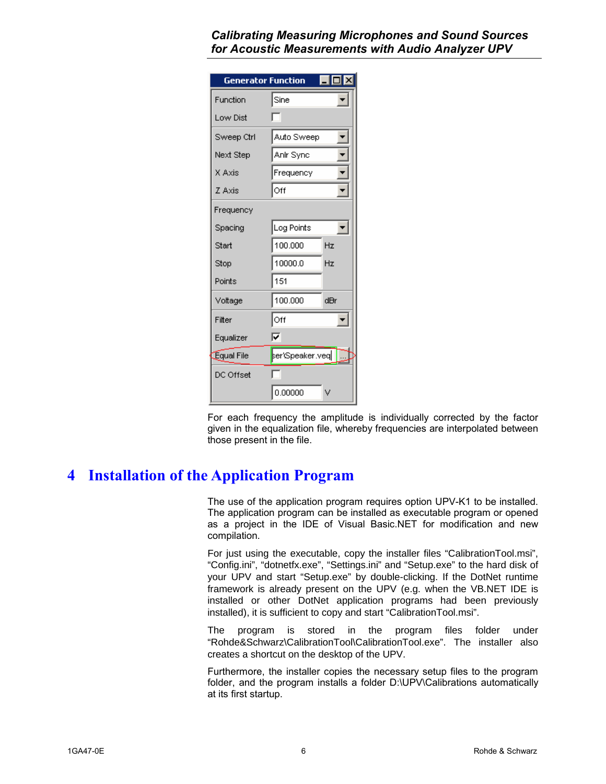<span id="page-5-0"></span>

| <b>Generator Function</b> |                 |     |
|---------------------------|-----------------|-----|
| Function                  | Sine            |     |
| Low Dist                  |                 |     |
| Sweep Ctrl                | Auto Sweep      |     |
| Next Step                 | Anir Sync       |     |
| X Axis                    | Frequency       |     |
| Z Axis                    | Off             |     |
| Frequency                 |                 |     |
| Spacing                   | Log Points      | F.  |
| Start                     | 100.000         | Hz  |
| Stop                      | 10000.0         | Hz  |
| Points                    | 151             |     |
| Voltage                   | 100.000         | dBr |
| Filter                    | Off             |     |
| Equalizer                 | ┍               |     |
| Equal File                | ser\Speaker.veq |     |
| DC Offset                 |                 |     |
|                           | 0.00000         | ٧   |

For each frequency the amplitude is individually corrected by the factor given in the equalization file, whereby frequencies are interpolated between those present in the file.

## **4 Installation of the Application Program**

The use of the application program requires option UPV-K1 to be installed. The application program can be installed as executable program or opened as a project in the IDE of Visual Basic.NET for modification and new compilation.

For just using the executable, copy the installer files "CalibrationTool.msi", "Config.ini", "dotnetfx.exe", "Settings.ini" and "Setup.exe" to the hard disk of your UPV and start "Setup.exe" by double-clicking. If the DotNet runtime framework is already present on the UPV (e.g. when the VB.NET IDE is installed or other DotNet application programs had been previously installed), it is sufficient to copy and start "CalibrationTool.msi".

The program is stored in the program files folder under "Rohde&Schwarz\CalibrationTool\CalibrationTool.exe". The installer also creates a shortcut on the desktop of the UPV.

Furthermore, the installer copies the necessary setup files to the program folder, and the program installs a folder D:\UPV\Calibrations automatically at its first startup.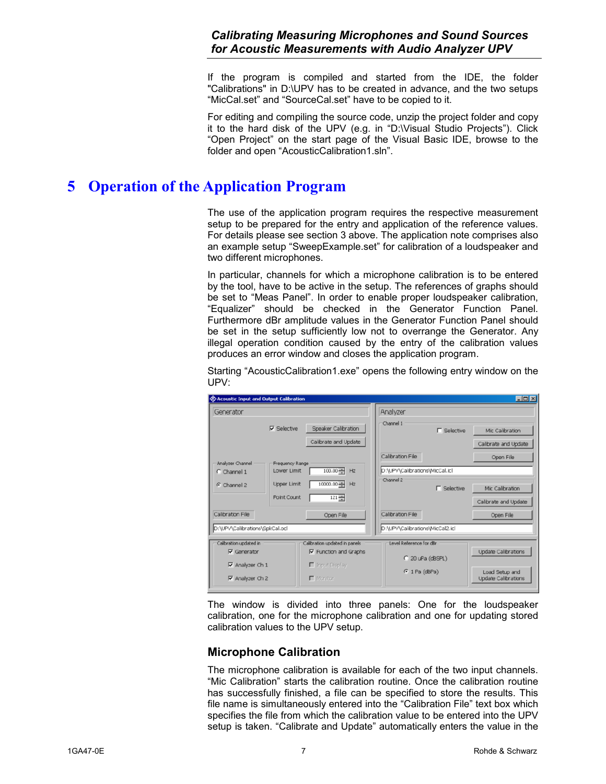If the program is compiled and started from the IDE, the folder "Calibrations" in D:\UPV has to be created in advance, and the two setups "MicCal.set" and "SourceCal.set" have to be copied to it.

For editing and compiling the source code, unzip the project folder and copy it to the hard disk of the UPV (e.g. in "D:\Visual Studio Projects"). Click "Open Project" on the start page of the Visual Basic IDE, browse to the folder and open "AcousticCalibration1.sln".

## <span id="page-6-0"></span>**5 Operation of the Application Program**

The use of the application program requires the respective measurement setup to be prepared for the entry and application of the reference values. For details please see section 3 above. The application note comprises also an example setup "SweepExample.set" for calibration of a loudspeaker and two different microphones.

In particular, channels for which a microphone calibration is to be entered by the tool, have to be active in the setup. The references of graphs should be set to "Meas Panel". In order to enable proper loudspeaker calibration, "Equalizer" should be checked in the Generator Function Panel. Furthermore dBr amplitude values in the Generator Function Panel should be set in the setup sufficiently low not to overrange the Generator. Any illegal operation condition caused by the entry of the calibration values produces an error window and closes the application program.

Starting "AcousticCalibration1.exe" opens the following entry window on the UPV:

| <b>EXAcoustic Input and Output Calibration</b>                      |                                                               |                                                    |                    | $\Box$ o $\mathbf{x}$                   |
|---------------------------------------------------------------------|---------------------------------------------------------------|----------------------------------------------------|--------------------|-----------------------------------------|
| Generator                                                           |                                                               | Analyzer                                           |                    |                                         |
| $\nabla$ Selective                                                  | Speaker Calibration<br>Calibrate and Update                   | Channel 1                                          | $\Gamma$ Selective | Mic Calibration<br>Calibrate and Update |
| Analyzer Channel<br>Frequency Range<br>Lower Limit<br>$C$ Channel 1 | $100.00 -$<br>Hz                                              | Calibration File<br>D:\UPV\Calibrations\MicCal.icl |                    | Open File                               |
| <b>Upper Limit</b><br>C Channel 2<br>Point Count                    | $10000.00 -$<br>Hz<br>$121 -$                                 | Channel 2                                          | $\Gamma$ Selective | Mic Calibration<br>Calibrate and Update |
| Calibration File                                                    | Open File                                                     | Calibration File                                   |                    | Open File                               |
| D:\UPV\Calibrations\SpkCal.ocl                                      |                                                               | D:\UPV\Calibrations\MicCal2.icl                    |                    |                                         |
| Calibration updated in<br>$\nabla$ Generator                        | Calibration updated in panels<br>$\nabla$ Function and Graphs | Level Reference for dBr<br>$C$ 20 uPa (dBSPL)      |                    | Update Calibrations                     |
| $\nabla$ Analyzer Ch 1<br>$\nabla$ Analyzer Ch 2                    | □ Input Display<br>$\Gamma$ Monitor                           | $G$ 1 Pa (dBPa)                                    |                    | Load Setup and<br>Update Calibrations   |

The window is divided into three panels: One for the loudspeaker calibration, one for the microphone calibration and one for updating stored calibration values to the UPV setup.

#### **Microphone Calibration**

The microphone calibration is available for each of the two input channels. "Mic Calibration" starts the calibration routine. Once the calibration routine has successfully finished, a file can be specified to store the results. This file name is simultaneously entered into the "Calibration File" text box which specifies the file from which the calibration value to be entered into the UPV setup is taken. "Calibrate and Update" automatically enters the value in the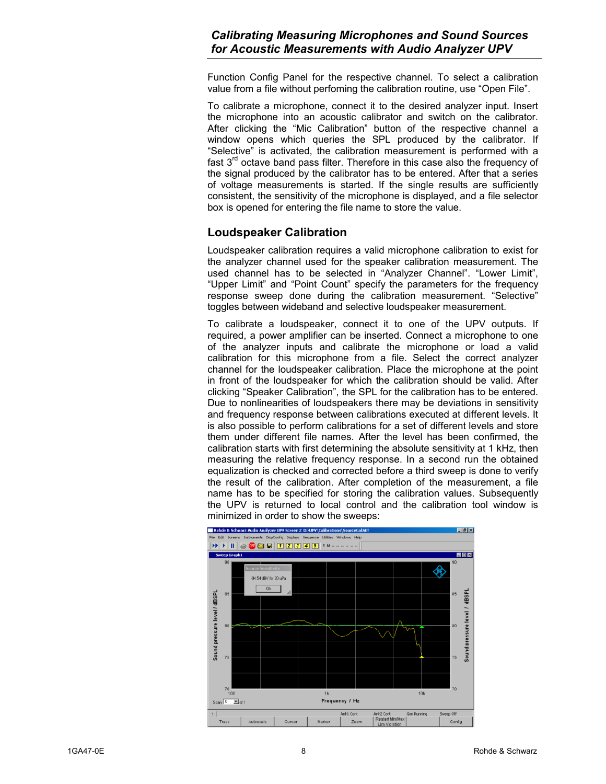<span id="page-7-0"></span>Function Config Panel for the respective channel. To select a calibration value from a file without perfoming the calibration routine, use "Open File".

To calibrate a microphone, connect it to the desired analyzer input. Insert the microphone into an acoustic calibrator and switch on the calibrator. After clicking the "Mic Calibration" button of the respective channel a window opens which queries the SPL produced by the calibrator. If "Selective" is activated, the calibration measurement is performed with a fast  $3<sup>rd</sup>$  octave band pass filter. Therefore in this case also the frequency of the signal produced by the calibrator has to be entered. After that a series of voltage measurements is started. If the single results are sufficiently consistent, the sensitivity of the microphone is displayed, and a file selector box is opened for entering the file name to store the value.

#### **Loudspeaker Calibration**

Loudspeaker calibration requires a valid microphone calibration to exist for the analyzer channel used for the speaker calibration measurement. The used channel has to be selected in "Analyzer Channel". "Lower Limit", "Upper Limit" and "Point Count" specify the parameters for the frequency response sweep done during the calibration measurement. "Selective" toggles between wideband and selective loudspeaker measurement.

To calibrate a loudspeaker, connect it to one of the UPV outputs. If required, a power amplifier can be inserted. Connect a microphone to one of the analyzer inputs and calibrate the microphone or load a valid calibration for this microphone from a file. Select the correct analyzer channel for the loudspeaker calibration. Place the microphone at the point in front of the loudspeaker for which the calibration should be valid. After clicking "Speaker Calibration", the SPL for the calibration has to be entered. Due to nonlinearities of loudspeakers there may be deviations in sensitivity and frequency response between calibrations executed at different levels. It is also possible to perform calibrations for a set of different levels and store them under different file names. After the level has been confirmed, the calibration starts with first determining the absolute sensitivity at 1 kHz, then measuring the relative frequency response. In a second run the obtained equalization is checked and corrected before a third sweep is done to verify the result of the calibration. After completion of the measurement, a file name has to be specified for storing the calibration values. Subsequently the UPV is returned to local control and the calibration tool window is minimized in order to show the sweeps:

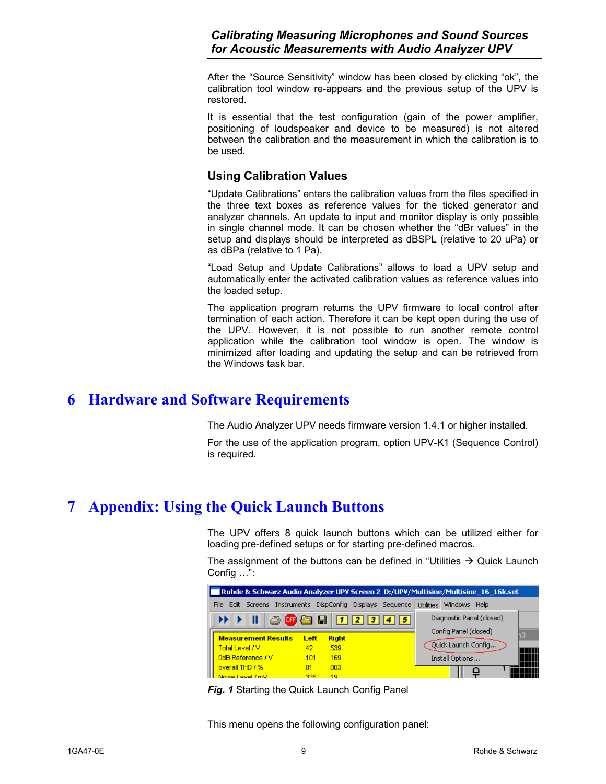<span id="page-8-0"></span>After the "Source Sensitivity" window has been closed by clicking "ok", the calibration tool window re-appears and the previous setup of the UPV is restored.

It is essential that the test configuration (gain of the power amplifier, positioning of loudspeaker and device to be measured) is not altered between the calibration and the measurement in which the calibration is to be used.

#### **Using Calibration Values**

"Update Calibrations" enters the calibration values from the files specified in the three text boxes as reference values for the ticked generator and analyzer channels. An update to input and monitor display is only possible in single channel mode. It can be chosen whether the "dBr values" in the setup and displays should be interpreted as dBSPL (relative to 20 uPa) or as dBPa (relative to 1 Pa).

"Load Setup and Update Calibrations" allows to load a UPV setup and automatically enter the activated calibration values as reference values into the loaded setup.

The application program returns the UPV firmware to local control after termination of each action. Therefore it can be kept open during the use of the UPV. However, it is not possible to run another remote control application while the calibration tool window is open. The window is minimized after loading and updating the setup and can be retrieved from the Windows task bar.

## **6 Hardware and Software Requirements**

The Audio Analyzer UPV needs firmware version 1.4.1 or higher installed.

For the use of the application program, option UPV-K1 (Sequence Control) is required.

## **7 Appendix: Using the Quick Launch Buttons**

The UPV offers 8 quick launch buttons which can be utilized either for loading pre-defined setups or for starting pre-defined macros.

The assignment of the buttons can be defined in "Utilities  $\rightarrow$  Quick Launch Config …":

| Rohde & Schwarz Audio Analyzer UPV Screen 2 D:/UPV/Multisine/Multisine 16 16k.set |                            |      |                                          |  |                  |                           |  |  |
|-----------------------------------------------------------------------------------|----------------------------|------|------------------------------------------|--|------------------|---------------------------|--|--|
|                                                                                   | File<br>Edit Screens       |      | Instruments DispConfig Displays Sequence |  | <b>Utilities</b> | Windows Help              |  |  |
|                                                                                   | Ш                          |      | <b>4 听白日 12345</b>                       |  |                  | Diagnostic Panel (closed) |  |  |
|                                                                                   | <b>Measurement Results</b> | Left | <b>Right</b>                             |  |                  | Config Panel (closed)     |  |  |
|                                                                                   | Total Level / V            | .42  | .539                                     |  |                  | Ouick Launch Config       |  |  |
|                                                                                   | 0dB Reference / V          | .101 | .169                                     |  |                  | Install Options           |  |  |
|                                                                                   | overall THD / %            | .01  | .003 <sub>1</sub>                        |  |                  |                           |  |  |
|                                                                                   | Noise Level (mV)           | 335. | 49.                                      |  |                  |                           |  |  |

**Fig. 1** Starting the Quick Launch Config Panel

This menu opens the following configuration panel: